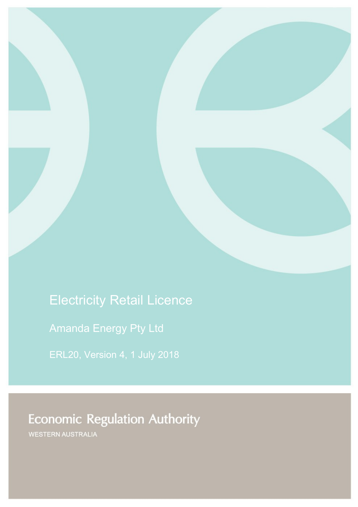# Electricity Retail Licence

Amanda Energy Pty Ltd

ERL20, Version 4, 1 July 2018

# **Economic Regulation Authority**

WESTERN AUSTRALIA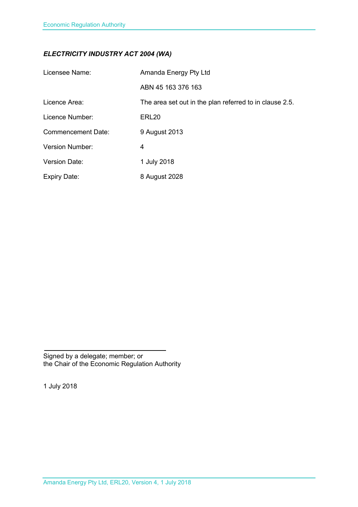## *ELECTRICITY INDUSTRY ACT 2004 (WA)*

| Licensee Name:            | Amanda Energy Pty Ltd                                   |
|---------------------------|---------------------------------------------------------|
|                           | ABN 45 163 376 163                                      |
| Licence Area:             | The area set out in the plan referred to in clause 2.5. |
| Licence Number:           | ERL <sub>20</sub>                                       |
| <b>Commencement Date:</b> | 9 August 2013                                           |
| <b>Version Number:</b>    | 4                                                       |
| <b>Version Date:</b>      | 1 July 2018                                             |
| <b>Expiry Date:</b>       | 8 August 2028                                           |

Signed by a delegate; member; or the Chair of the Economic Regulation Authority

1 July 2018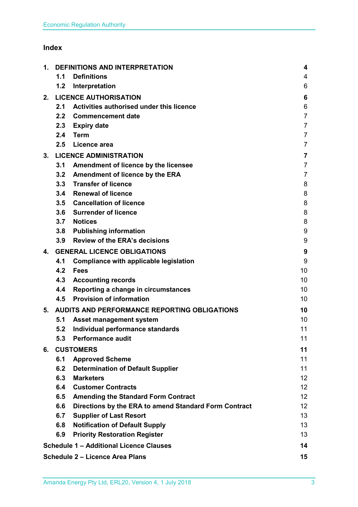## **Index**

| 1. | <b>DEFINITIONS AND INTERPRETATION</b>        |                                                       | 4                       |
|----|----------------------------------------------|-------------------------------------------------------|-------------------------|
|    | 1.1                                          | <b>Definitions</b>                                    | 4                       |
|    | 1.2                                          | Interpretation                                        | 6                       |
| 2. |                                              | <b>LICENCE AUTHORISATION</b>                          | 6                       |
|    | 2.1                                          | Activities authorised under this licence              | 6                       |
|    | 2.2 <sub>2</sub>                             | <b>Commencement date</b>                              | $\overline{7}$          |
|    | 2.3                                          | <b>Expiry date</b>                                    | $\overline{7}$          |
|    | 2.4                                          | <b>Term</b>                                           | $\overline{7}$          |
|    | 2.5                                          | Licence area                                          | $\overline{7}$          |
| 3. | <b>LICENCE ADMINISTRATION</b>                |                                                       | $\overline{\mathbf{7}}$ |
|    | 3.1                                          | Amendment of licence by the licensee                  | $\overline{7}$          |
|    | 3.2                                          | <b>Amendment of licence by the ERA</b>                | $\overline{7}$          |
|    | 3.3                                          | <b>Transfer of licence</b>                            | 8                       |
|    | 3.4                                          | <b>Renewal of licence</b>                             | 8                       |
|    | 3.5                                          | <b>Cancellation of licence</b>                        | 8                       |
|    | 3.6                                          | <b>Surrender of licence</b>                           | 8                       |
|    | 3.7                                          | <b>Notices</b>                                        | 8                       |
|    | 3.8                                          | <b>Publishing information</b>                         | 9                       |
|    | 3.9                                          | <b>Review of the ERA's decisions</b>                  | 9                       |
| 4. | <b>GENERAL LICENCE OBLIGATIONS</b>           |                                                       | 9                       |
|    | 4.1                                          | Compliance with applicable legislation                | 9                       |
|    | 4.2                                          | <b>Fees</b>                                           | 10                      |
|    | 4.3                                          | <b>Accounting records</b>                             | 10                      |
|    | 4.4                                          | Reporting a change in circumstances                   | 10                      |
|    | 4.5                                          | <b>Provision of information</b>                       | 10                      |
| 5. | AUDITS AND PERFORMANCE REPORTING OBLIGATIONS |                                                       | 10                      |
|    | 5.1                                          | <b>Asset management system</b>                        | 10                      |
|    | 5.2                                          | Individual performance standards                      | 11                      |
|    | 5.3                                          | <b>Performance audit</b>                              | 11                      |
| 6. | <b>CUSTOMERS</b>                             |                                                       | 11                      |
|    | 6.1                                          | <b>Approved Scheme</b>                                | 11                      |
|    | 6.2                                          | <b>Determination of Default Supplier</b>              | 11                      |
|    | 6.3                                          | <b>Marketers</b>                                      | 12 <sup>2</sup>         |
|    | 6.4                                          | <b>Customer Contracts</b>                             | 12 <sub>2</sub>         |
|    | 6.5                                          | <b>Amending the Standard Form Contract</b>            | 12 <sub>2</sub>         |
|    | 6.6                                          | Directions by the ERA to amend Standard Form Contract | 12 <sub>2</sub>         |
|    | 6.7                                          | <b>Supplier of Last Resort</b>                        | 13                      |
|    | 6.8                                          | <b>Notification of Default Supply</b>                 | 13                      |
|    | 6.9                                          | <b>Priority Restoration Register</b>                  | 13                      |
|    |                                              | <b>Schedule 1 - Additional Licence Clauses</b>        | 14                      |
|    |                                              | <b>Schedule 2 - Licence Area Plans</b>                | 15                      |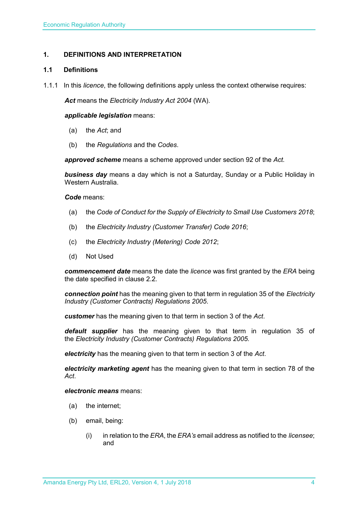## <span id="page-3-0"></span>**1. DEFINITIONS AND INTERPRETATION**

## <span id="page-3-1"></span>**1.1 Definitions**

1.1.1 In this *licence*, the following definitions apply unless the context otherwise requires:

*Act* means the *Electricity Industry Act 2004* (WA).

## *applicable legislation* means:

- (a) the *Act*; and
- (b) the *Regulations* and the *Codes*.

*approved scheme* means a scheme approved under section 92 of the *Act.* 

*business day* means a day which is not a Saturday, Sunday or a Public Holiday in Western Australia.

*Code* means:

- (a) the *Code of Conduct for the Supply of Electricity to Small Use Customers 2018*;
- (b) the *Electricity Industry (Customer Transfer) Code 2016*;
- (c) the *Electricity Industry (Metering) Code 2012*;
- (d) Not Used

*commencement date* means the date the *licence* was first granted by the *ERA* being the date specified in clause 2.2.

*connection point* has the meaning given to that term in regulation 35 of the *[Electricity](http://www.slp.wa.gov.au/legislation/statutes.nsf/main_mrtitle_1345_homepage.html)  [Industry \(Customer Contracts\) Regulations 2005](http://www.slp.wa.gov.au/legislation/statutes.nsf/main_mrtitle_1345_homepage.html)*.

*customer* has the meaning given to that term in section 3 of the *Act*.

*default supplier* has the meaning given to that term in regulation 35 of the *Electricity [Industry \(Customer Contracts\) Regulations 2005.](http://www.slp.wa.gov.au/legislation/statutes.nsf/main_mrtitle_1345_homepage.html)*

*electricity* has the meaning given to that term in section 3 of the *Act*.

*electricity marketing agent* has the meaning given to that term in section 78 of the *Act*.

## *electronic means* means:

- (a) the internet;
- (b) email, being:
	- (i) in relation to the *ERA*, the *ERA's* email address as notified to the *licensee*; and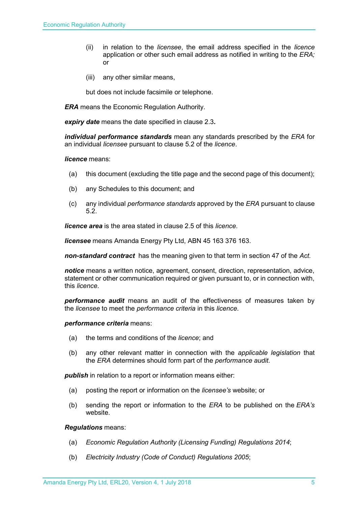- (ii) in relation to the *licensee*, the email address specified in the *licence* application or other such email address as notified in writing to the *ERA;* or
- (iii) any other similar means,

but does not include facsimile or telephone.

*ERA* means the Economic Regulation Authority.

*expiry date* means the date specified in clause 2.3*.*

*individual performance standards* mean any standards prescribed by the *ERA* for an individual *licensee* pursuant to clause 5.2 of the *licence*.

## *licence* means:

- (a) this document (excluding the title page and the second page of this document);
- (b) any Schedules to this document; and
- (c) any individual *performance standards* approved by the *ERA* pursuant to clause 5.2.

*licence area* is the area stated in clause 2.5 of this *licence*.

*licensee* means Amanda Energy Pty Ltd, ABN 45 163 376 163.

*non-standard contract* has the meaning given to that term in section 47 of the *Act.* 

*notice* means a written notice, agreement, consent, direction, representation, advice, statement or other communication required or given pursuant to, or in connection with, this *licence*.

*performance audit* means an audit of the effectiveness of measures taken by the *licensee* to meet the *performance criteria* in this *licence*.

*performance criteria* means:

- (a) the terms and conditions of the *licence*; and
- (b) any other relevant matter in connection with the *applicable legislation* that the *ERA* determines should form part of the *performance audit*.

*publish* in relation to a report or information means either:

- (a) posting the report or information on the *licensee's* website; or
- (b) sending the report or information to the *ERA* to be published on the *ERA's* website.

*Regulations* means:

- (a) *Economic Regulation Authority (Licensing Funding) Regulations 2014*;
- (b) *Electricity Industry (Code of Conduct) Regulations 2005*;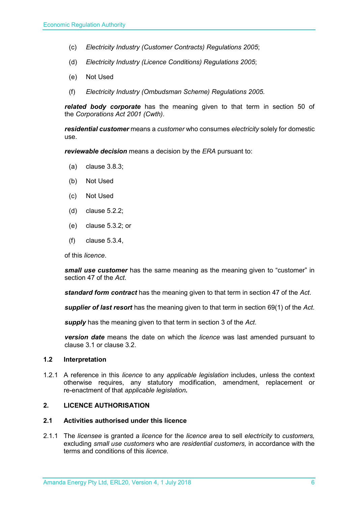- (c) *Electricity Industry (Customer Contracts) Regulations 2005*;
- (d) *Electricity Industry (Licence Conditions) Regulations 2005*;
- (e) Not Used
- (f) *Electricity Industry (Ombudsman Scheme) Regulations 2005.*

*related body corporate* has the meaning given to that term in section 50 of the *Corporations Act 2001 (Cwth)*.

*residential customer* means a *customer* who consumes *electricity* solely for domestic use.

*reviewable decision* means a decision by the *ERA* pursuant to:

- (a) clause 3.8.3;
- (b) Not Used
- (c) Not Used
- (d) clause 5.2.2;
- (e) clause 5.3.2; or
- (f) clause 5.3.4,

of this *licence*.

*small use customer* has the same meaning as the meaning given to "customer" in section 47 of the *Act*.

*standard form contract* has the meaning given to that term in section 47 of the *Act*.

*supplier of last resort* has the meaning given to that term in section 69(1) of the *Act*.

*supply* has the meaning given to that term in section 3 of the *Act*.

*version date* means the date on which the *licence* was last amended pursuant to clause 3.1 or clause 3.2.

#### <span id="page-5-0"></span>**1.2 Interpretation**

1.2.1 A reference in this *licence* to any *applicable legislation* includes, unless the context otherwise requires, any statutory modification, amendment, replacement or re-enactment of that *applicable legislation.*

## <span id="page-5-1"></span>**2. LICENCE AUTHORISATION**

## <span id="page-5-2"></span>**2.1 Activities authorised under this licence**

2.1.1 The *licensee* is granted a *licence* for the *licence area* to sell *electricity* to *customers,*  excluding *small use customers* who are *residential customers,* in accordance with the terms and conditions of this *licence.*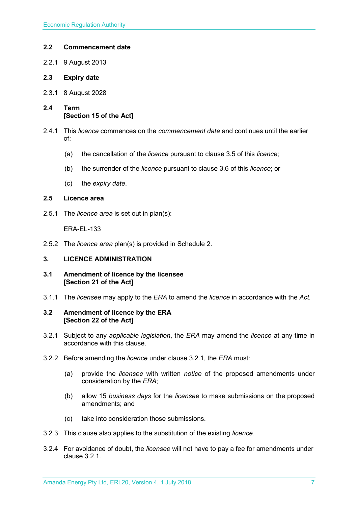## <span id="page-6-0"></span>**2.2 Commencement date**

- 2.2.1 9 August 2013
- <span id="page-6-1"></span>**2.3 Expiry date**
- 2.3.1 8 August 2028
- <span id="page-6-2"></span>**2.4 Term [Section 15 of the Act]**
- 2.4.1 This *licence* commences on the *commencement date* and continues until the earlier of:
	- (a) the cancellation of the *licence* pursuant to clause 3.5 of this *licence*;
	- (b) the surrender of the *licence* pursuant to clause 3.6 of this *licence*; or
	- (c) the *expiry date*.

## <span id="page-6-3"></span>**2.5 Licence area**

2.5.1 The *licence area* is set out in plan(s):

ERA-EL-133

2.5.2 The *licence area* plan(s) is provided in Schedule 2.

## <span id="page-6-4"></span>**3. LICENCE ADMINISTRATION**

- <span id="page-6-5"></span>**3.1 Amendment of licence by the licensee [Section 21 of the Act]**
- 3.1.1 The *licensee* may apply to the *ERA* to amend the *licence* in accordance with the *Act.*

## <span id="page-6-6"></span>**3.2 Amendment of licence by the ERA [Section 22 of the Act]**

- 3.2.1 Subject to any *applicable legislation*, the *ERA* may amend the *licence* at any time in accordance with this clause.
- 3.2.2 Before amending the *licence* under clause 3.2.1, the *ERA* must:
	- (a) provide the *licensee* with written *notice* of the proposed amendments under consideration by the *ERA*;
	- (b) allow 15 *business days* for the *licensee* to make submissions on the proposed amendments; and
	- (c) take into consideration those submissions.
- 3.2.3 This clause also applies to the substitution of the existing *licence*.
- 3.2.4 For avoidance of doubt, the *licensee* will not have to pay a fee for amendments under clause 3.2.1.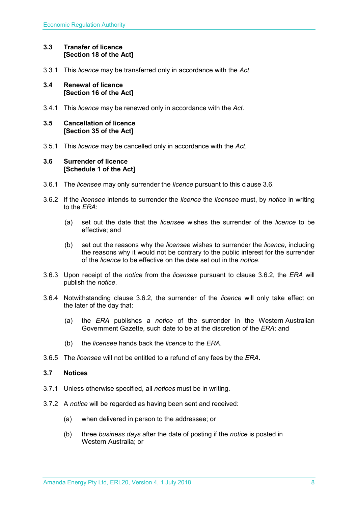## <span id="page-7-0"></span>**3.3 Transfer of licence [Section 18 of the Act]**

3.3.1 This *licence* may be transferred only in accordance with the *Act.*

## <span id="page-7-1"></span>**3.4 Renewal of licence [Section 16 of the Act]**

3.4.1 This *licence* may be renewed only in accordance with the *Act*.

## <span id="page-7-2"></span>**3.5 Cancellation of licence [Section 35 of the Act]**

3.5.1 This *licence* may be cancelled only in accordance with the *Act*.

## <span id="page-7-3"></span>**3.6 Surrender of licence [Schedule 1 of the Act]**

- 3.6.1 The *licensee* may only surrender the *licence* pursuant to this clause 3.6.
- 3.6.2 If the *licensee* intends to surrender the *licence* the *licensee* must, by *notice* in writing to the *ERA*:
	- (a) set out the date that the *licensee* wishes the surrender of the *licence* to be effective; and
	- (b) set out the reasons why the *licensee* wishes to surrender the *licence*, including the reasons why it would not be contrary to the public interest for the surrender of the *licence* to be effective on the date set out in the *notice*.
- 3.6.3 Upon receipt of the *notice* from the *licensee* pursuant to clause 3.6.2, the *ERA* will publish the *notice*.
- 3.6.4 Notwithstanding clause 3.6.2, the surrender of the *licence* will only take effect on the later of the day that:
	- (a) the *ERA* publishes a *notice* of the surrender in the Western Australian Government Gazette, such date to be at the discretion of the *ERA*; and
	- (b) the *licensee* hands back the *licence* to the *ERA*.
- 3.6.5 The *licensee* will not be entitled to a refund of any fees by the *ERA*.

## <span id="page-7-4"></span>**3.7 Notices**

- 3.7.1 Unless otherwise specified, all *notices* must be in writing.
- 3.7.2 A *notice* will be regarded as having been sent and received:
	- (a) when delivered in person to the addressee; or
	- (b) three *business days* after the date of posting if the *notice* is posted in Western Australia; or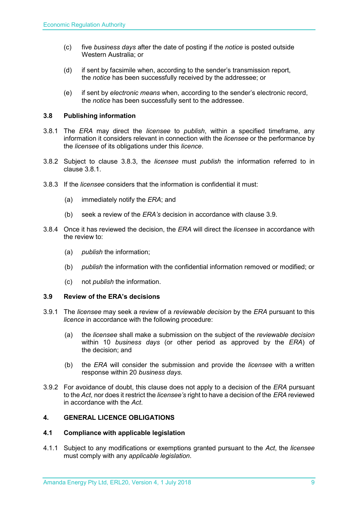- (c) five *business days* after the date of posting if the *notice* is posted outside Western Australia; or
- (d) if sent by facsimile when, according to the sender's transmission report, the *notice* has been successfully received by the addressee; or
- (e) if sent by *electronic means* when, according to the sender's electronic record, the *notice* has been successfully sent to the addressee.

## <span id="page-8-0"></span>**3.8 Publishing information**

- 3.8.1 The *ERA* may direct the *licensee* to *publish*, within a specified timeframe, any information it considers relevant in connection with the *licensee* or the performance by the *licensee* of its obligations under this *licence*.
- 3.8.2 Subject to clause 3.8.3, the *licensee* must *publish* the information referred to in clause 3.8.1.
- 3.8.3 If the *licensee* considers that the information is confidential it must:
	- (a) immediately notify the *ERA*; and
	- (b) seek a review of the *ERA's* decision in accordance with clause 3.9.
- 3.8.4 Once it has reviewed the decision, the *ERA* will direct the *licensee* in accordance with the review to:
	- (a) *publish* the information;
	- (b) *publish* the information with the confidential information removed or modified; or
	- (c) not *publish* the information.

## <span id="page-8-1"></span>**3.9 Review of the ERA's decisions**

- 3.9.1 The *licensee* may seek a review of a *reviewable decision* by the *ERA* pursuant to this *licence* in accordance with the following procedure:
	- (a) the *licensee* shall make a submission on the subject of the *reviewable decision* within 10 *business days* (or other period as approved by the *ERA*) of the decision; and
	- (b) the *ERA* will consider the submission and provide the *licensee* with a written response within 20 *business days*.
- 3.9.2 For avoidance of doubt, this clause does not apply to a decision of the *ERA* pursuant to the *Act*, nor does it restrict the *licensee's* right to have a decision of the *ERA* reviewed in accordance with the *Act*.

## <span id="page-8-2"></span>**4. GENERAL LICENCE OBLIGATIONS**

## <span id="page-8-3"></span>**4.1 Compliance with applicable legislation**

4.1.1 Subject to any modifications or exemptions granted pursuant to the *Act*, the *licensee* must comply with any *applicable legislation*.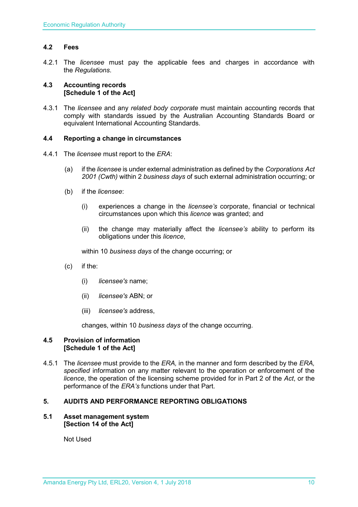## <span id="page-9-0"></span>**4.2 Fees**

4.2.1 The *licensee* must pay the applicable fees and charges in accordance with the *Regulations*.

## <span id="page-9-1"></span>**4.3 Accounting records [Schedule 1 of the Act]**

4.3.1 The *licensee* and any *related body corporate* must maintain accounting records that comply with standards issued by the Australian Accounting Standards Board or equivalent International Accounting Standards.

## <span id="page-9-2"></span>**4.4 Reporting a change in circumstances**

- 4.4.1 The *licensee* must report to the *ERA*:
	- (a) if the *licensee* is under external administration as defined by the *Corporations Act 2001 (Cwth)* within 2 *business days* of such external administration occurring; or
	- (b) if the *licensee*:
		- (i) experiences a change in the *licensee's* corporate, financial or technical circumstances upon which this *licence* was granted; and
		- (ii) the change may materially affect the *licensee's* ability to perform its obligations under this *licence*,

within 10 *business days* of the change occurring; or

- (c) if the:
	- (i) *licensee's* name;
	- (ii) *licensee's* ABN; or
	- (iii) *licensee's* address,

changes, within 10 *business days* of the change occurring.

## <span id="page-9-3"></span>**4.5 Provision of information [Schedule 1 of the Act]**

4.5.1 The *licensee* must provide to the *ERA,* in the manner and form described by the *ERA, specified* information on any matter relevant to the operation or enforcement of the *licence*, the operation of the licensing scheme provided for in Part 2 of the *Act*, or the performance of the *ERA's* functions under that Part.

## <span id="page-9-4"></span>**5. AUDITS AND PERFORMANCE REPORTING OBLIGATIONS**

## <span id="page-9-5"></span>**5.1 Asset management system [Section 14 of the Act]**

Not Used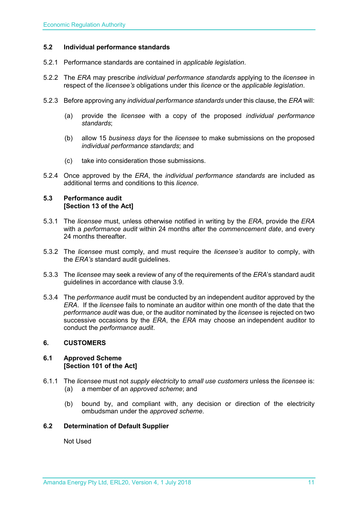## <span id="page-10-0"></span>**5.2 Individual performance standards**

- 5.2.1 Performance standards are contained in *applicable legislation*.
- 5.2.2 The *ERA* may prescribe *individual performance standards* applying to the *licensee* in respect of the *licensee's* obligations under this *licence* or the *applicable legislation*.
- 5.2.3 Before approving any *individual performance standards* under this clause, the *ERA* will:
	- (a) provide the *licensee* with a copy of the proposed *individual performance standards*;
	- (b) allow 15 *business days* for the *licensee* to make submissions on the proposed *individual performance standards*; and
	- (c) take into consideration those submissions.
- 5.2.4 Once approved by the *ERA*, the *individual performance standards* are included as additional terms and conditions to this *licence*.

## <span id="page-10-1"></span>**5.3 Performance audit [Section 13 of the Act]**

- 5.3.1 The *licensee* must, unless otherwise notified in writing by the *ERA*, provide the *ERA* with a *performance audit* within 24 months after the *commencement date*, and every 24 months thereafter.
- 5.3.2 The *licensee* must comply, and must require the *licensee's* auditor to comply, with the *ERA's* standard audit guidelines.
- 5.3.3 The *licensee* may seek a review of any of the requirements of the *ERA*'s standard audit guidelines in accordance with clause 3.9.
- 5.3.4 The *performance audit* must be conducted by an independent auditor approved by the *ERA*. If the *licensee* fails to nominate an auditor within one month of the date that the *performance audit* was due, or the auditor nominated by the *licensee* is rejected on two successive occasions by the *ERA*, the *ERA* may choose an independent auditor to conduct the *performance audit*.

## <span id="page-10-2"></span>**6. CUSTOMERS**

## <span id="page-10-3"></span>**6.1 Approved Scheme [Section 101 of the Act]**

- 6.1.1 The *licensee* must not *supply electricity* to *small use customers* unless the *licensee* is: (a) a member of an *approved scheme*; and
	- (b) bound by, and compliant with, any decision or direction of the electricity ombudsman under the *approved scheme*.

## <span id="page-10-4"></span>**6.2 Determination of Default Supplier**

Not Used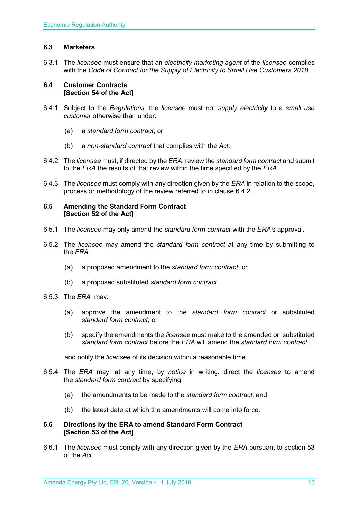## <span id="page-11-0"></span>**6.3 Marketers**

6.3.1 The *licensee* must ensure that an *electricity marketing agent* of the *licensee* complies with the *Code of Conduct for the Supply of Electricity to Small Use Customers 2018.*

## <span id="page-11-1"></span>**6.4 Customer Contracts [Section 54 of the Act]**

- 6.4.1 Subject to the *Regulations*, the *license*e must not *supply electricity* to a *small use customer* otherwise than under:
	- (a) a *standard form contract*; or
	- (b) a *non-standard contract* that complies with the *Act*.
- 6.4.2 The *licensee* must, if directed by the *ERA*, review the *standard form contract* and submit to the *ERA* the results of that review within the time specified by the *ERA*.
- 6.4.3 The *licensee* must comply with any direction given by the *ERA* in relation to the scope, process or methodology of the review referred to in clause 6.4.2.

## <span id="page-11-2"></span>**6.5 Amending the Standard Form Contract [Section 52 of the Act]**

- 6.5.1 The *licensee* may only amend the *standard form contract* with the *ERA'*s approval.
- 6.5.2 The *licensee* may amend the *standard form contract* at any time by submitting to the *ERA*:
	- (a) a proposed amendment to the *standard form contract*; or
	- (b) a proposed substituted *standard form contract*.
- 6.5.3 The *ERA* may:
	- (a) approve the amendment to the *standard form contract* or substituted *standard form contract*; or
	- (b) specify the amendments the *licensee* must make to the amended or substituted *standard form contract* before the *ERA* will amend the *standard form contract*,

and notify the *licensee* of its decision within a reasonable time.

- 6.5.4 The *ERA* may, at any time, by *notice* in writing, direct the *licensee* to amend the *standard form contract* by specifying:
	- (a) the amendments to be made to the *standard form contract*; and
	- (b) the latest date at which the amendments will come into force.

## <span id="page-11-3"></span>**6.6 Directions by the ERA to amend Standard Form Contract [Section 53 of the Act]**

6.6.1 The *licensee* must comply with any direction given by the *ERA* pursuant to section 53 of the *Act.*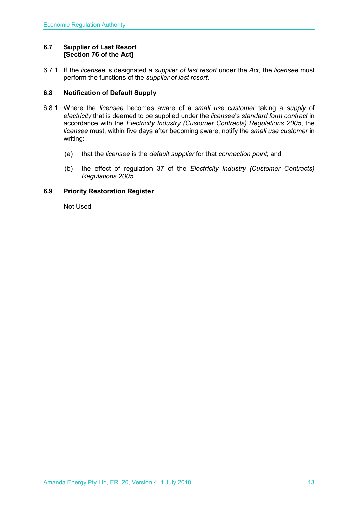## <span id="page-12-0"></span>**6.7 Supplier of Last Resort [Section 76 of the Act]**

6.7.1 If the *licensee* is designated a *supplier of last resort* under the *Act,* the *licensee* must perform the functions of the *supplier of last resort.* 

## <span id="page-12-1"></span>**6.8 Notification of Default Supply**

- 6.8.1 Where the *licensee* becomes aware of a *small use customer* taking a *supply* of *electricity* that is deemed to be supplied under the *licensee*'s *standard form contract* in accordance with the *[Electricity Industry \(Customer Contracts\) Regulations 2005](http://www.slp.wa.gov.au/legislation/statutes.nsf/main_mrtitle_1345_homepage.html)*, the *licensee* must, within five days after becoming aware, notify the *small use customer* in writing:
	- (a) that the *licensee* is the *default supplier* for that *connection point*; and
	- (b) the effect of regulation 37 of the *[Electricity Industry \(Customer Contracts\)](http://www.slp.wa.gov.au/legislation/statutes.nsf/main_mrtitle_1345_homepage.html)  [Regulations 2005](http://www.slp.wa.gov.au/legislation/statutes.nsf/main_mrtitle_1345_homepage.html)*.

## <span id="page-12-2"></span>**6.9 Priority Restoration Register**

Not Used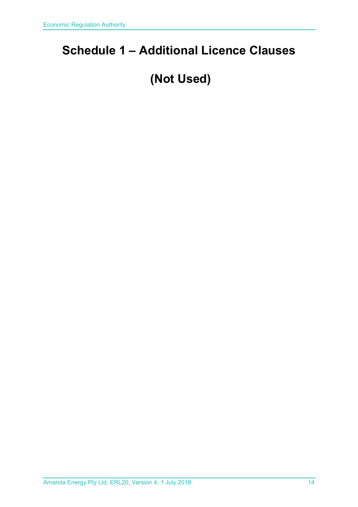## <span id="page-13-0"></span>**Schedule 1 – Additional Licence Clauses**

## **(Not Used)**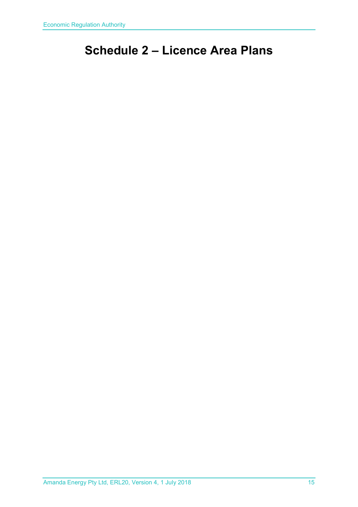## <span id="page-14-0"></span>**Schedule 2 – Licence Area Plans**